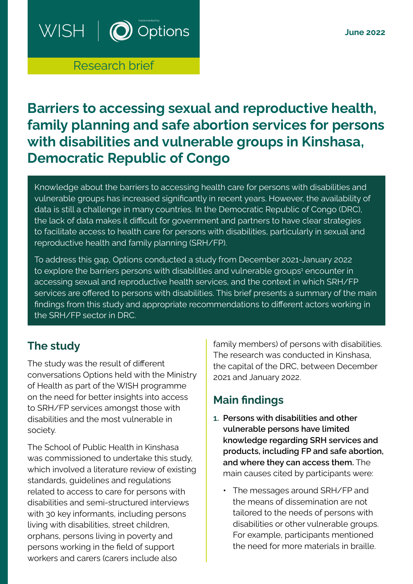#### **June 2022**

# $WISH \mid \bigcirc \circ p$

## Research brief

# **Barriers to accessing sexual and reproductive health, family planning and safe abortion services for persons with disabilities and vulnerable groups in Kinshasa, Democratic Republic of Congo**

Knowledge about the barriers to accessing health care for persons with disabilities and vulnerable groups has increased significantly in recent years. However, the availability of data is still a challenge in many countries. In the Democratic Republic of Congo (DRC), the lack of data makes it difficult for government and partners to have clear strategies to facilitate access to health care for persons with disabilities, particularly in sexual and reproductive health and family planning (SRH/FP).

To address this gap, Options conducted a study from December 2021-January 2022 to explore the barriers persons with disabilities and vulnerable groups<sup>1</sup> encounter in accessing sexual and reproductive health services, and the context in which SRH/FP services are offered to persons with disabilities. This brief presents a summary of the main findings from this study and appropriate recommendations to different actors working in the SRH/FP sector in DRC.

## **The study**

The study was the result of different conversations Options held with the Ministry of Health as part of the WISH programme on the need for better insights into access to SRH/FP services amongst those with disabilities and the most vulnerable in society.

The School of Public Health in Kinshasa was commissioned to undertake this study, which involved a literature review of existing standards, guidelines and regulations related to access to care for persons with disabilities and semi-structured interviews with 30 key informants, including persons living with disabilities, street children, orphans, persons living in poverty and persons working in the field of support workers and carers (carers include also

family members) of persons with disabilities. The research was conducted in Kinshasa, the capital of the DRC, between December 2021 and January 2022.

## **Main findings**

- **1. Persons with disabilities and other vulnerable persons have limited knowledge regarding SRH services and products, including FP and safe abortion, and where they can access them.** The main causes cited by participants were:
	- **•** The messages around SRH/FP and the means of dissemination are not tailored to the needs of persons with disabilities or other vulnerable groups. For example, participants mentioned the need for more materials in braille.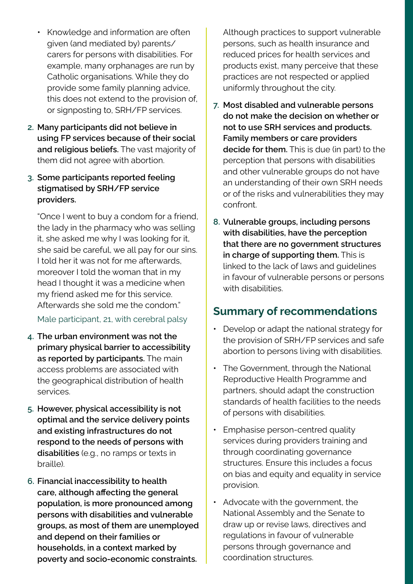- **•** Knowledge and information are often given (and mediated by) parents/ carers for persons with disabilities. For example, many orphanages are run by Catholic organisations. While they do provide some family planning advice, this does not extend to the provision of, or signposting to, SRH/FP services.
- **2. Many participants did not believe in using FP services because of their social and religious beliefs.** The vast majority of them did not agree with abortion.
- **3. Some participants reported feeling stigmatised by SRH/FP service providers.**

"Once I went to buy a condom for a friend, the lady in the pharmacy who was selling it, she asked me why I was looking for it, she said be careful, we all pay for our sins. I told her it was not for me afterwards, moreover I told the woman that in my head I thought it was a medicine when my friend asked me for this service. Afterwards she sold me the condom."

#### Male participant, 21, with cerebral palsy

- **4. The urban environment was not the primary physical barrier to accessibility as reported by participants.** The main access problems are associated with the geographical distribution of health services.
- **5. However, physical accessibility is not optimal and the service delivery points and existing infrastructures do not respond to the needs of persons with disabilities** (e.g., no ramps or texts in braille).
- **6. Financial inaccessibility to health care, although affecting the general population, is more pronounced among persons with disabilities and vulnerable groups, as most of them are unemployed and depend on their families or households, in a context marked by poverty and socio-economic constraints.**

Although practices to support vulnerable persons, such as health insurance and reduced prices for health services and products exist, many perceive that these practices are not respected or applied uniformly throughout the city.

- **7. Most disabled and vulnerable persons do not make the decision on whether or not to use SRH services and products. Family members or care providers decide for them.** This is due (in part) to the perception that persons with disabilities and other vulnerable groups do not have an understanding of their own SRH needs or of the risks and vulnerabilities they may confront.
- **8. Vulnerable groups, including persons with disabilities, have the perception that there are no government structures in charge of supporting them.** This is linked to the lack of laws and guidelines in favour of vulnerable persons or persons with disabilities.

#### **Summary of recommendations**

- **•** Develop or adapt the national strategy for the provision of SRH/FP services and safe abortion to persons living with disabilities.
- **•** The Government, through the National Reproductive Health Programme and partners, should adapt the construction standards of health facilities to the needs of persons with disabilities.
- **•** Emphasise person-centred quality services during providers training and through coordinating governance structures. Ensure this includes a focus on bias and equity and equality in service provision.
- **•** Advocate with the government, the National Assembly and the Senate to draw up or revise laws, directives and regulations in favour of vulnerable persons through governance and coordination structures.